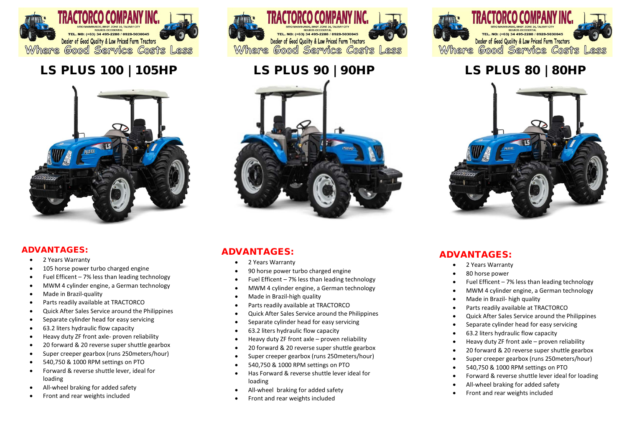

# LS PLUS 100 | 105HP LS PLUS 90 | 90HP



### ADVANTAGES:

- 2 Years Warranty
- 105 horse power turbo charged engine
- Fuel Efficent 7% less than leading technology
- MWM 4 cylinder engine, a German technology
- Made in Brazil-quality
- Parts readily available at TRACTORCO
- Quick After Sales Service around the Philippines
- Separate cylinder head for easy servicing
- 63.2 liters hydraulic flow capacity
- Heavy duty ZF front axle- proven reliability
- 20 forward & 20 reverse super shuttle gearbox
- Super creeper gearbox (runs 250meters/hour)
- 540,750 & 1000 RPM settings on PTO
- Forward & reverse shuttle lever, ideal for loading
- All-wheel braking for added safety
- Front and rear weights included





## ADVANTAGES:

- 2 Years Warranty
- 90 horse power turbo charged engine
- Fuel Efficent  $-7\%$  less than leading technology
- MWM 4 cylinder engine, a German technology
- Made in Brazil-high quality
- Parts readily available at TRACTORCO
- Quick After Sales Service around the Philippines
- Separate cylinder head for easy servicing
- 63.2 liters hydraulic flow capacity
- Heavy duty ZF front axle proven reliability
- 20 forward & 20 reverse super shuttle gearbox
- Super creeper gearbox (runs 250meters/hour)
- 540,750 & 1000 RPM settings on PTO
- Has Forward & reverse shuttle lever ideal for loading
- All-wheel braking for added safety
- Front and rear weights included



# LS PLUS 80 | 80HP

![](_page_0_Picture_42.jpeg)

### ADVANTAGES:

- 2 Years Warranty
- 80 horse power
- Fuel Efficent  $-7\%$  less than leading technology
- MWM 4 cylinder engine, a German technology
- Made in Brazil- high quality
- Parts readily available at TRACTORCO
- Quick After Sales Service around the Philippines
- Separate cylinder head for easy servicing
- 63.2 liters hydraulic flow capacity
- Heavy duty ZF front axle proven reliability
- 20 forward & 20 reverse super shuttle gearbox
- Super creeper gearbox (runs 250meters/hour)
- 540,750 & 1000 RPM settings on PTO
- Forward & reverse shuttle lever ideal for loading
- All-wheel braking for added safety
- Front and rear weights included